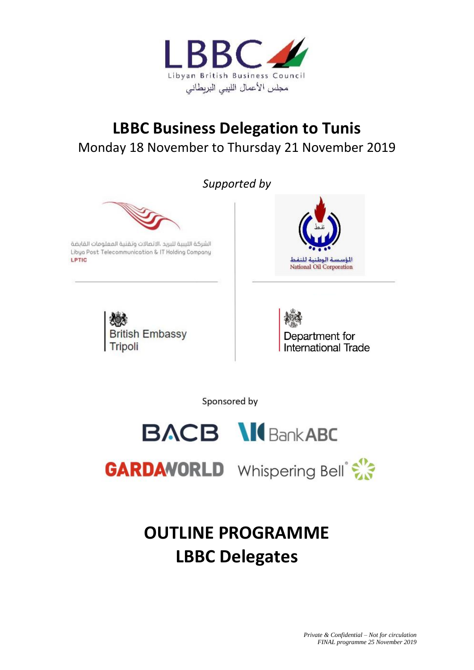

## **LBBC Business Delegation to Tunis** Monday 18 November to Thursday 21 November 2019

*Supported by*



الشركة اللببية للبريد ،الاتصالات وتقنية المعلومات القابضة Libya Post Telecommunication & IT Holding Company LPTIC





Department for International Trade

Sponsored by



**GARDAVORLD** Whispering Bell<sup>®</sup>

# **OUTLINE PROGRAMME LBBC Delegates**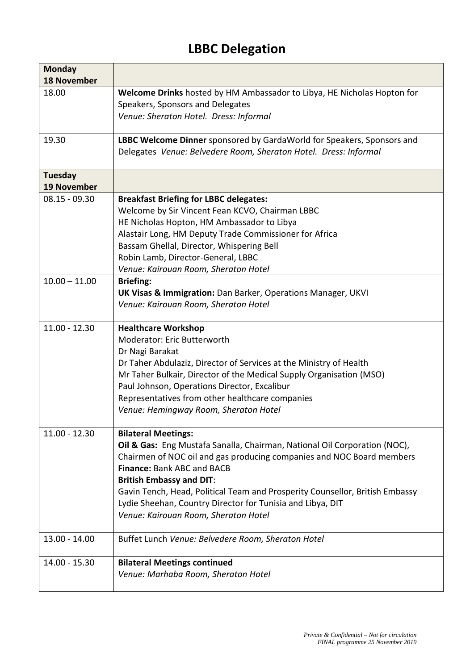### **LBBC Delegation**

| <b>Monday</b>      |                                                                              |
|--------------------|------------------------------------------------------------------------------|
| <b>18 November</b> |                                                                              |
| 18.00              | Welcome Drinks hosted by HM Ambassador to Libya, HE Nicholas Hopton for      |
|                    | Speakers, Sponsors and Delegates                                             |
|                    | Venue: Sheraton Hotel. Dress: Informal                                       |
|                    |                                                                              |
| 19.30              | LBBC Welcome Dinner sponsored by GardaWorld for Speakers, Sponsors and       |
|                    | Delegates Venue: Belvedere Room, Sheraton Hotel. Dress: Informal             |
| <b>Tuesday</b>     |                                                                              |
| <b>19 November</b> |                                                                              |
| $08.15 - 09.30$    | <b>Breakfast Briefing for LBBC delegates:</b>                                |
|                    | Welcome by Sir Vincent Fean KCVO, Chairman LBBC                              |
|                    | HE Nicholas Hopton, HM Ambassador to Libya                                   |
|                    | Alastair Long, HM Deputy Trade Commissioner for Africa                       |
|                    | Bassam Ghellal, Director, Whispering Bell                                    |
|                    | Robin Lamb, Director-General, LBBC                                           |
|                    | Venue: Kairouan Room, Sheraton Hotel                                         |
| $10.00 - 11.00$    | <b>Briefing:</b>                                                             |
|                    | <b>UK Visas &amp; Immigration:</b> Dan Barker, Operations Manager, UKVI      |
|                    | Venue: Kairouan Room, Sheraton Hotel                                         |
|                    |                                                                              |
| $11.00 - 12.30$    | <b>Healthcare Workshop</b>                                                   |
|                    | Moderator: Eric Butterworth                                                  |
|                    | Dr Nagi Barakat                                                              |
|                    | Dr Taher Abdulaziz, Director of Services at the Ministry of Health           |
|                    | Mr Taher Bulkair, Director of the Medical Supply Organisation (MSO)          |
|                    | Paul Johnson, Operations Director, Excalibur                                 |
|                    | Representatives from other healthcare companies                              |
|                    | Venue: Hemingway Room, Sheraton Hotel                                        |
|                    |                                                                              |
| $11.00 - 12.30$    | <b>Bilateral Meetings:</b>                                                   |
|                    | Oil & Gas: Eng Mustafa Sanalla, Chairman, National Oil Corporation (NOC),    |
|                    | Chairmen of NOC oil and gas producing companies and NOC Board members        |
|                    | <b>Finance: Bank ABC and BACB</b>                                            |
|                    | <b>British Embassy and DIT:</b>                                              |
|                    | Gavin Tench, Head, Political Team and Prosperity Counsellor, British Embassy |
|                    | Lydie Sheehan, Country Director for Tunisia and Libya, DIT                   |
|                    | Venue: Kairouan Room, Sheraton Hotel                                         |
|                    |                                                                              |
| $13.00 - 14.00$    | Buffet Lunch Venue: Belvedere Room, Sheraton Hotel                           |
| $14.00 - 15.30$    | <b>Bilateral Meetings continued</b>                                          |
|                    | Venue: Marhaba Room, Sheraton Hotel                                          |
|                    |                                                                              |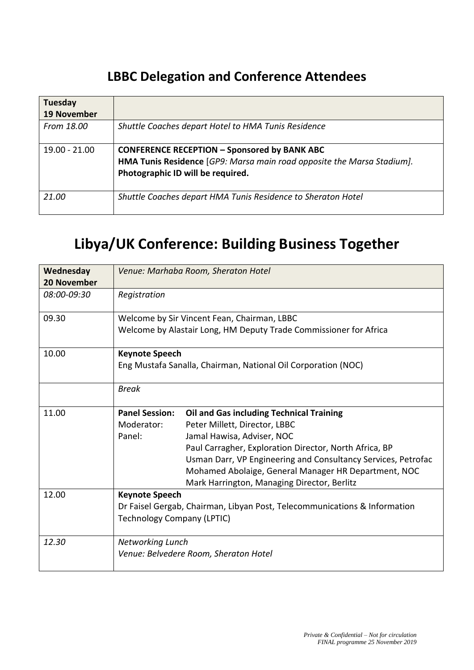#### **LBBC Delegation and Conference Attendees**

| Tuesday<br><b>19 November</b> |                                                                                                                                                                    |
|-------------------------------|--------------------------------------------------------------------------------------------------------------------------------------------------------------------|
| From 18.00                    | Shuttle Coaches depart Hotel to HMA Tunis Residence                                                                                                                |
| $19.00 - 21.00$               | <b>CONFERENCE RECEPTION - Sponsored by BANK ABC</b><br>HMA Tunis Residence [GP9: Marsa main road opposite the Marsa Stadium].<br>Photographic ID will be required. |
| 21.00                         | Shuttle Coaches depart HMA Tunis Residence to Sheraton Hotel                                                                                                       |

## **Libya/UK Conference: Building Business Together**

| Wednesday<br><b>20 November</b> | Venue: Marhaba Room, Sheraton Hotel                                                                                                                                                                                                                                                                                                                                                               |  |  |
|---------------------------------|---------------------------------------------------------------------------------------------------------------------------------------------------------------------------------------------------------------------------------------------------------------------------------------------------------------------------------------------------------------------------------------------------|--|--|
| 08:00-09:30                     | Registration                                                                                                                                                                                                                                                                                                                                                                                      |  |  |
| 09.30                           | Welcome by Sir Vincent Fean, Chairman, LBBC<br>Welcome by Alastair Long, HM Deputy Trade Commissioner for Africa                                                                                                                                                                                                                                                                                  |  |  |
| 10.00                           | <b>Keynote Speech</b><br>Eng Mustafa Sanalla, Chairman, National Oil Corporation (NOC)                                                                                                                                                                                                                                                                                                            |  |  |
|                                 | <b>Break</b>                                                                                                                                                                                                                                                                                                                                                                                      |  |  |
| 11.00                           | <b>Panel Session:</b><br><b>Oil and Gas including Technical Training</b><br>Peter Millett, Director, LBBC<br>Moderator:<br>Panel:<br>Jamal Hawisa, Adviser, NOC<br>Paul Carragher, Exploration Director, North Africa, BP<br>Usman Darr, VP Engineering and Consultancy Services, Petrofac<br>Mohamed Abolaige, General Manager HR Department, NOC<br>Mark Harrington, Managing Director, Berlitz |  |  |
| 12.00                           | <b>Keynote Speech</b><br>Dr Faisel Gergab, Chairman, Libyan Post, Telecommunications & Information<br><b>Technology Company (LPTIC)</b>                                                                                                                                                                                                                                                           |  |  |
| 12.30                           | <b>Networking Lunch</b><br>Venue: Belvedere Room, Sheraton Hotel                                                                                                                                                                                                                                                                                                                                  |  |  |